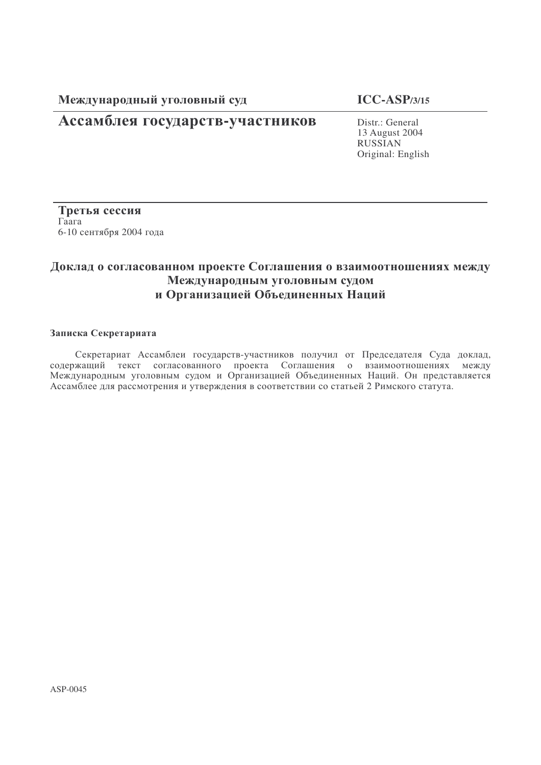Международный уголовны

## **ICC-ASP/3/15**

# Ассамблея государств-участников Distr.: General

13 August 2004 RUSSIAN Original: English

Третья сессия  $\Gamma$ aara 6-10 сентября 2004 года

## Доклад о согласованном проекте Соглашения о взаимоотношениях между Международным уголовным судом и Организацией Объединенных Наций

#### Записка Секретариата

Секретариат Ассамблеи государств-участников получил от Председателя Суда доклад, содержащий текст согласованного проекта Соглашения о взаимоотношениях между Международным уголовным судом и Организацией Объединенных Наций. Он представляется Ассамблее для рассмотрения и утверждения в соответствии со статьей 2 Римского статута.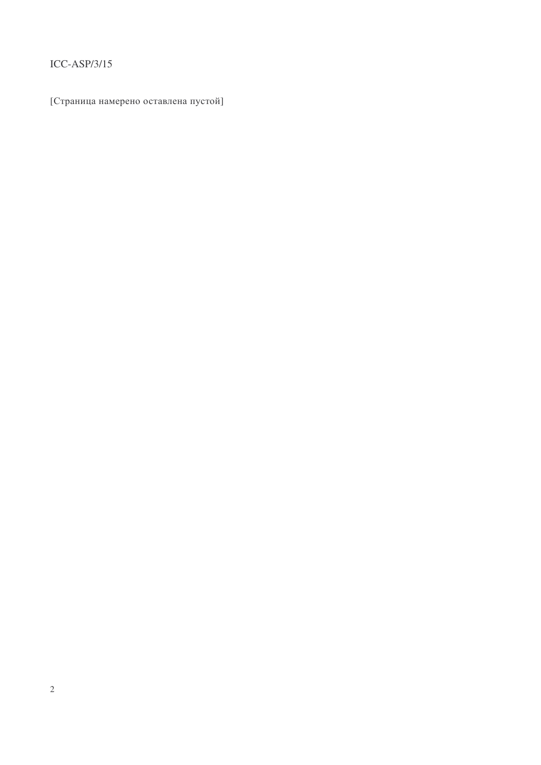## $ICC-ASP/3/15$

[Страница намерено оставлена пустой]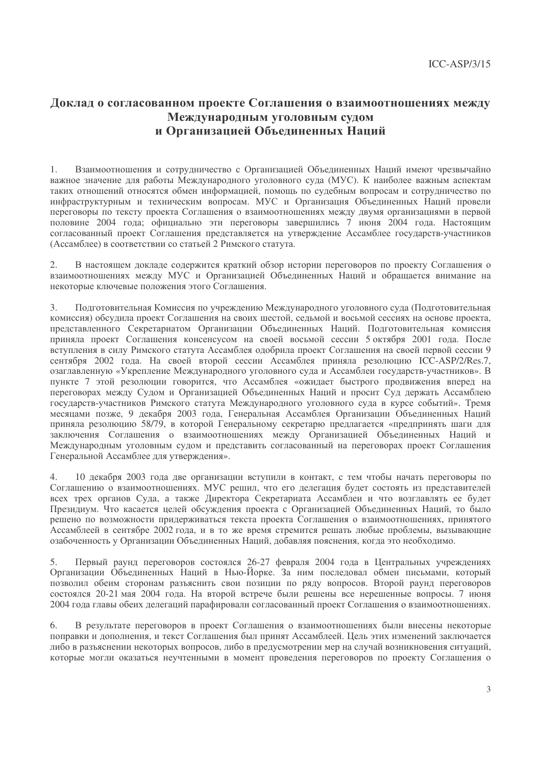## Доклад о согласованном проекте Соглашения о взаимоотношениях между Международным уголовным судом и Организацией Объединенных Наций

Взаимоотношения и сотрудничество с Организацией Объединенных Наций имеют чрезвычайно 1. важное значение для работы Международного уголовного суда (МУС). К наиболее важным аспектам таких отношений относятся обмен информацией, помощь по судебным вопросам и сотрудничество по инфраструктурным и техническим вопросам. МУС и Организация Объединенных Наций провели переговоры по тексту проекта Соглашения о взаимоотношениях между двумя организациями в первой половине 2004 года; официально эти переговоры завершились 7 июня 2004 года. Настоящим согласованный проект Соглашения представляется на утверждение Ассамблее государств-участников (Ассамблее) в соответствии со статьей 2 Римского статута.

 $\mathcal{D}_{\mathcal{L}}$ В настоящем докладе содержится краткий обзор истории переговоров по проекту Соглашения о взаимоотношениях между МУС и Организацией Объединенных Наций и обращается внимание на некоторые ключевые положения этого Соглашения.

Подготовительная Комиссия по учреждению Международного уголовного суда (Подготовительная 3. комиссия) обсудила проект Соглашения на своих шестой, седьмой и восьмой сессиях на основе проекта, представленного Секретариатом Организации Объединенных Наций. Подготовительная комиссия приняла проект Соглашения консенсусом на своей восьмой сессии 5 октября 2001 года. После вступления в силу Римского статута Ассамблея одобрила проект Соглашения на своей первой сессии 9 сентября 2002 года. На своей второй сессии Ассамблея приняла резолюцию ICC-ASP/2/Res.7, озаглавленную «Укрепление Международного уголовного суда и Ассамблеи государств-участников». В пункте 7 этой резолюции говорится, что Ассамблея «ожидает быстрого продвижения вперед на переговорах между Судом и Организацией Объединенных Наций и просит Суд держать Ассамблею государств-участников Римского статута Международного уголовного суда в курсе событий». Тремя месяцами позже, 9 декабря 2003 года, Генеральная Ассамблея Организации Объединенных Наций приняла резолюцию 58/79, в которой Генеральному секретарю предлагается «предпринять шаги для заключения Соглашения о взаимоотношениях между Организацией Объединенных Наций и Международным уголовным судом и представить согласованный на переговорах проект Соглашения Генеральной Ассамблее для утверждения».

10 декабря 2003 года две организации вступили в контакт, с тем чтобы начать переговоры по  $\mathbf{\Delta}$ Соглашению о взаимоотношениях. МУС решил, что его делегация будет состоять из представителей всех трех органов Суда, а также Директора Секретариата Ассамблеи и что возглавлять ее будет Президиум. Что касается целей обсуждения проекта с Организацией Объединенных Наций, то было решено по возможности придерживаться текста проекта Соглашения о взаимоотношениях, принятого Ассамблеей в сентябре 2002 года, и в то же время стремится решать любые проблемы, вызывающие озабоченность у Организации Объединенных Наций, добавляя пояснения, когда это необходимо.

Первый раунд переговоров состоялся 26-27 февраля 2004 года в Центральных учреждениях 5. Организации Объединенных Наций в Нью-Йорке. За ним последовал обмен письмами, который позволил обеим сторонам разъяснить свои позиции по ряду вопросов. Второй раунд переговоров состоялся 20-21 мая 2004 года. На второй встрече были решены все нерешенные вопросы. 7 июня 2004 года главы обеих делегаций парафировали согласованный проект Соглашения о взаимоотношениях.

В результате переговоров в проект Соглашения о взаимоотношениях были внесены некоторые 6. поправки и дополнения, и текст Соглашения был принят Ассамблеей. Цель этих изменений заключается либо в разъяснении некоторых вопросов, либо в предусмотрении мер на случай возникновения ситуаций, которые могли оказаться неучтенными в момент проведения переговоров по проекту Соглашения о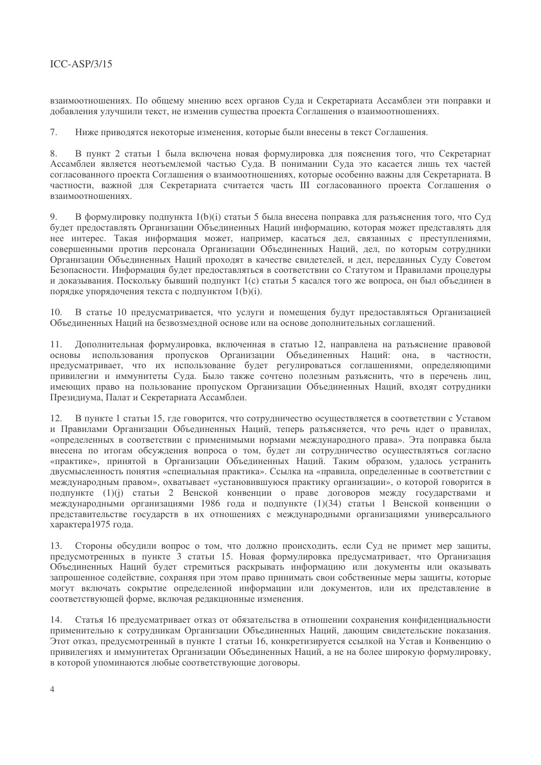## $ICC-ASP/3/15$

взаимоотношениях. По общему мнению всех органов Суда и Секретариата Ассамблеи эти поправки и добавления улучшили текст, не изменив существа проекта Соглашения о взаимоотношениях.

 $7.$ Ниже приводятся некоторые изменения, которые были внесены в текст Соглашения.

8. В пункт 2 статьи 1 была включена новая формулировка для пояснения того, что Секретариат Ассамблеи является неотъемлемой частью Суда. В понимании Суда это касается лишь тех частей согласованного проекта Соглашения о взаимоотношениях, которые особенно важны для Секретариата. В частности, важной для Секретариата считается часть III согласованного проекта Соглашения о взаимоотношениях.

 $\mathbf Q$ В формулировку полпункта 1(b)(i) статьи 5 была внесена поправка для разъяснения того, что Суд будет предоставлять Организации Объединенных Наций информацию, которая может представлять для нее интерес. Такая информация может, например, касаться дел, связанных с преступлениями, совершенными против персонала Организации Объединенных Наций, дел, по которым сотрудники Организации Объединенных Наций проходят в качестве свидетелей, и дел, переданных Суду Советом Безопасности. Информация будет предоставляться в соответствии со Статутом и Правилами процедуры и доказывания. Поскольку бывший подпункт 1(c) статьи 5 касался того же вопроса, он был объединен в порядке упорядочения текста с подпунктом 1(b)(i).

 $10.$ В статье 10 предусматривается, что услуги и помещения будут предоставляться Организацией Объединенных Наций на безвозмездной основе или на основе дополнительных соглашений.

11. Лополнительная формулировка, включенная в статью 12, направлена на разъяснение правовой основы использования пропусков Организации Объединенных Наций: она, в частности, предусматривает, что их использование будет регулироваться соглашениями, определяющими привилегии и иммунитеты Суда. Было также сочтено полезным разъяснить, что в перечень лиц, имеющих право на пользование пропуском Организации Объединенных Наций, входят сотрудники Президиума, Палат и Секретариата Ассамблеи.

 $12.$ В пункте 1 статьи 15, где говорится, что сотрудничество осуществляется в соответствии с Уставом и Правилами Организации Объединенных Наций, теперь разъясняется, что речь идет о правилах, «определенных в соответствии с применимыми нормами международного права». Эта поправка была внесена по итогам обсуждения вопроса о том, будет ли сотрудничество осуществляться согласно «практике», принятой в Организации Объединенных Наций. Таким образом, удалось устранить двусмысленность понятия «специальная практика». Ссылка на «правила, определенные в соответствии с международным правом», охватывает «установившуюся практику организации», о которой говорится в подпункте (1)(j) статьи 2 Венской конвенции о праве договоров между государствами и международными организациями 1986 года и подпункте (1)(34) статьи 1 Венской конвенции о представительстве государств в их отношениях с международными организациями универсального характера1975 года.

Стороны обсудили вопрос о том, что должно происходить, если Суд не примет мер защиты,  $13.$ предусмотренных в пункте 3 статьи 15. Новая формулировка предусматривает, что Организация Объединенных Наций будет стремиться раскрывать информацию или документы или оказывать запрошенное содействие, сохраняя при этом право принимать свои собственные меры защиты, которые могут включать сокрытие определенной информации или документов, или их представление в соответствующей форме, включая редакционные изменения.

 $14.$ Статья 16 предусматривает отказ от обязательства в отношении сохранения конфиденциальности применительно к сотрудникам Организации Объединенных Наций, дающим свидетельские показания. Этот отказ, предусмотренный в пункте 1 статьи 16, конкретизируется ссылкой на Устав и Конвенцию о привилегиях и иммунитетах Организации Объелиненных Наций, а не на более широкую формулировку, в которой упоминаются любые соответствующие договоры.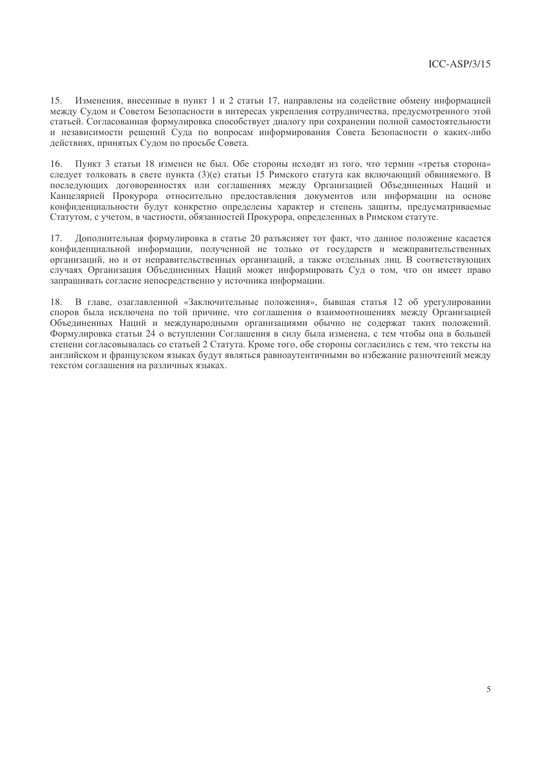Изменения, внесенные в пункт 1 и 2 статьи 17, направлены на содействие обмену информацией  $15$ между Судом и Советом Безопасности в интересах укрепления сотрудничества, предусмотренного этой статьей. Согласованная формулировка способствует диалогу при сохранении полной самостоятельности и независимости решений Суда по вопросам информирования Совета Безопасности о каких-либо действиях, принятых Судом по просьбе Совета.

Пункт 3 статьи 18 изменен не был. Обе стороны исходят из того, что термин «третья сторона» 16. следует толковать в свете пункта (3)(е) статьи 15 Римского статута как включающий обвиняемого. В последующих договоренностях или соглашениях между Организацией Объединенных Наций и Канцелярией Прокурора относительно предоставления документов или информации на основе конфиленциальности булут конкретно опрелелены характер и степень защиты, прелусматриваемые Статутом, с учетом, в частности, обязанностей Прокурора, определенных в Римском статуте.

Дополнительная формулировка в статье 20 разъясняет тот факт, что данное положение касается 17. конфиденциальной информации, полученной не только от государств и межправительственных организаций, но и от неправительственных организаций, а также отдельных лиц. В соответствующих случаях Организация Объединенных Наций может информировать Суд о том, что он имеет право запрашивать согласие непосредственно у источника информации.

18. В главе, озаглавленной «Заключительные положения», бывшая статья 12 об урегулировании споров была исключена по той причине, что соглашения о взаимоотношениях между Организацией Объединенных Наций и международными организациями обычно не содержат таких положений. Формулировка статьи 24 о вступлении Соглашения в силу была изменена, с тем чтобы она в большей степени согласовывалась со статьей 2 Статута. Кроме того, обе стороны согласились с тем, что тексты на английском и французском языках будут являться равноаутентичными во избежание разночтений между текстом соглашения на различных языках.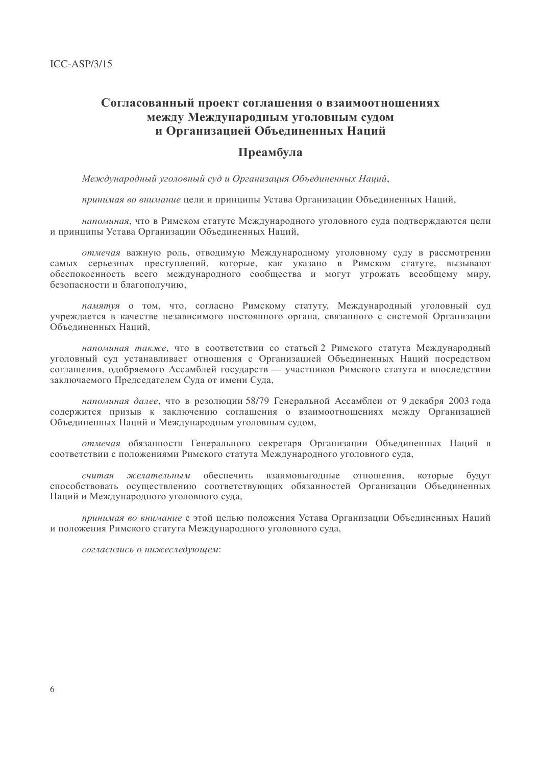## Согласованный проект соглашения о взаимоотношениях между Международным уголовным судом и Организацией Объединенных Наций

### Преамбула

Международный уголовный суд и Организация Объединенных Наций,

принимая во внимание цели и принципы Устава Организации Объединенных Наций,

напоминая, что в Римском статуте Международного уголовного суда подтверждаются цели и принципы Устава Организации Объединенных Наций,

отмечая важную роль, отводимую Международному уголовному суду в рассмотрении самых серьезных преступлений, которые, как указано в Римском статуте, вызывают обеспокоенность всего международного сообщества и могут угрожать всеобщему миру, безопасности и благополучию.

памятуя о том, что, согласно Римскому статуту, Международный уголовный суд учреждается в качестве независимого постоянного органа, связанного с системой Организации Объелиненных Наций.

напоминая также, что в соответствии со статьей 2 Римского статута Международный уголовный суд устанавливает отношения с Организацией Объединенных Наций посредством соглашения, одобряемого Ассамблей государств — участников Римского статута и впоследствии заключаемого Председателем Суда от имени Суда,

напоминая далее, что в резолюции 58/79 Генеральной Ассамблеи от 9 декабря 2003 года содержится призыв к заключению соглашения о взаимоотношениях между Организацией Объединенных Наций и Международным уголовным судом,

отмечая обязанности Генерального секретаря Организации Объединенных Наций в соответствии с положениями Римского статута Международного уголовного суда,

которые считая желательным обеспечить взаимовыгодные отношения. булут способствовать осуществлению соответствующих обязанностей Организации Объединенных Наций и Международного уголовного суда,

принимая во внимание с этой целью положения Устава Организации Объединенных Наций и положения Римского статута Международного уголовного суда,

согласились о нижеследующем: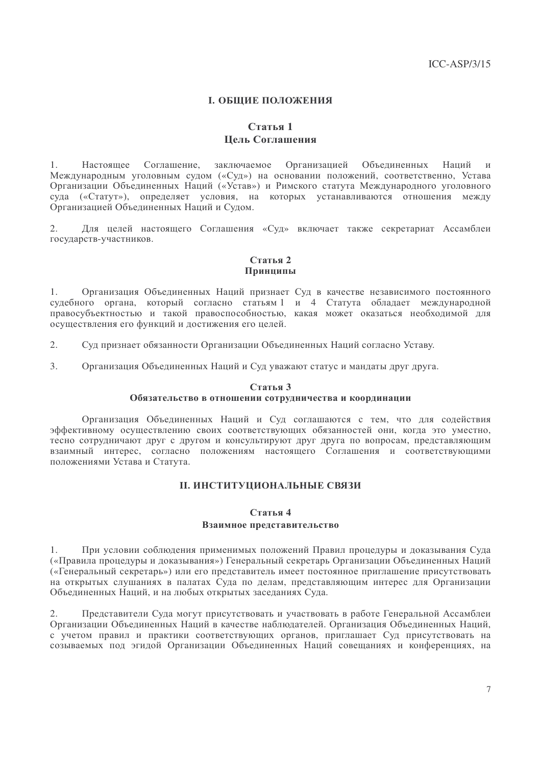### **І. ОБШИЕ ПОЛОЖЕНИЯ**

### Статья 1 Цель Соглашения

Настояшее Соглашение. заключаемое Организацией Объединенных Наций  $1<sub>1</sub>$  $\overline{M}$ Международным уголовным судом («Суд») на основании положений, соответственно, Устава Организации Объелиненных Наций («Устав») и Римского статута Международного уголовного суда («Статут»), определяет условия, на которых устанавливаются отношения между Организацией Объединенных Наций и Судом.

 $2.$ Для целей настоящего Соглашения «Суд» включает также секретариат Ассамблеи государств-участников.

#### Статья 2 Принципы

 $1<sup>1</sup>$ Организация Объединенных Наций признает Суд в качестве независимого постоянного судебного органа, который согласно статьям 1 и 4 Статута обладает международной правосубъектностью и такой правоспособностью, какая может оказаться необходимой для осуществления его функций и достижения его целей.

- $2^{\circ}$ Суд признает обязанности Организации Объединенных Наций согласно Уставу.
- $\mathcal{E}$ Организация Объединенных Наций и Суд уважают статус и мандаты друг друга.

#### Статья 3

#### Обязательство в отношении сотрудничества и координации

Организация Объединенных Наций и Суд соглашаются с тем, что для содействия эффективному осуществлению своих соответствующих обязанностей они, когда это уместно, тесно сотрудничают друг с другом и консультируют друг друга по вопросам, представляющим взаимный интерес, согласно положениям настоящего Соглашения и соответствующими положениями Устава и Статута.

#### **II. ИНСТИТУЦИОНАЛЬНЫЕ СВЯЗИ**

#### Статья 4

#### Взаимное представительство

1. При условии соблюдения применимых положений Правил процедуры и доказывания Суда («Правила процедуры и доказывания») Генеральный секретарь Организации Объединенных Наций («Генеральный секретарь») или его представитель имеет постоянное приглашение присутствовать на открытых слушаниях в палатах Суда по делам, представляющим интерес для Организации Объединенных Наций, и на любых открытых заселаниях Суда.

Представители Суда могут присутствовать и участвовать в работе Генеральной Ассамблеи  $2.$ Организации Объединенных Наций в качестве наблюдателей. Организация Объединенных Наций, с учетом правил и практики соответствующих органов, приглашает Сул присутствовать на созываемых под эгидой Организации Объединенных Наций совещаниях и конференциях, на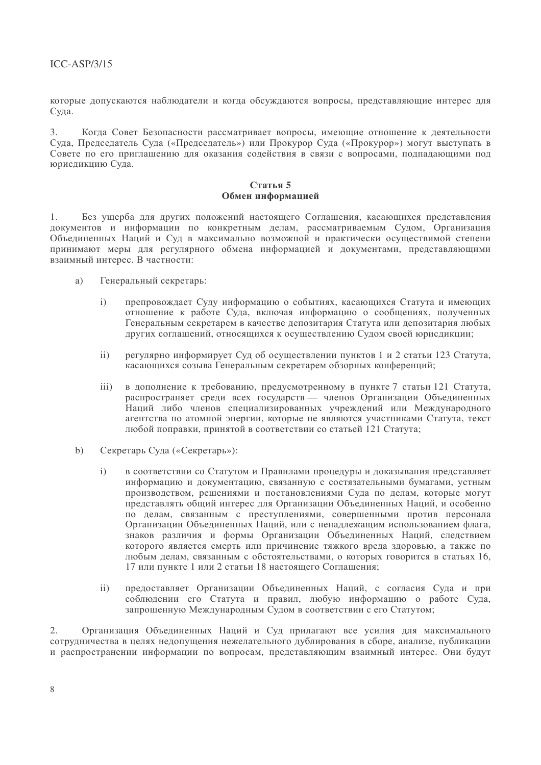которые допускаются наблюдатели и когда обсуждаются вопросы, представляющие интерес для Суда.

Когда Совет Безопасности рассматривает вопросы, имеющие отношение к деятельности  $3.$ Суда, Председатель Суда («Председатель») или Прокурор Суда («Прокурор») могут выступать в Совете по его приглашению для оказания содействия в связи с вопросами, подпадающими под юрисдикцию Суда.

#### Статья 5 Обмен информацией

 $1<sup>1</sup>$ Без ушерба для других положений настоящего Соглашения, касающихся представления документов и информации по конкретным делам, рассматриваемым Судом, Организация Объединенных Наций и Суд в максимально возможной и практически осуществимой степени принимают меры для регулярного обмена информацией и документами, представляющими взаимный интерес. В частности:

- Генеральный секретарь: a)
	- препровождает Суду информацию о событиях, касающихся Статута и имеющих  $\mathbf{i}$ отношение к работе Суда, включая информацию о сообщениях, полученных Генеральным секретарем в качестве депозитария Статута или депозитария любых лругих соглашений, относящихся к осуществлению Судом своей юрисликции;
	- регулярно информирует Суд об осуществлении пунктов 1 и 2 статьи 123 Статута,  $\mathbf{ii}$ касающихся созыва Генеральным секретарем обзорных конференций;
	- $iii)$ в дополнение к требованию, предусмотренному в пункте 7 статьи 121 Статута, распространяет среди всех государств — членов Организации Объединенных Наций либо членов специализированных учреждений или Международного агентства по атомной энергии, которые не являются участниками Статута, текст любой поправки, принятой в соответствии со статьей 121 Статута;
- Секретарь Суда («Секретарь»):  $b)$ 
	- в соответствии со Статутом и Правилами процедуры и доказывания представляет  $\mathbf{i}$ информацию и документацию, связанную с состязательными бумагами, устным производством, решениями и постановлениями Суда по делам, которые могут представлять общий интерес для Организации Объединенных Наций, и особенно по делам, связанным с преступлениями, совершенными против персонала Организации Объединенных Наций, или с ненадлежащим использованием флага, знаков различия и формы Организации Объединенных Наций, следствием которого является смерть или причинение тяжкого вреда здоровью, а также по любым делам, связанным с обстоятельствами, о которых говорится в статьях 16, 17 или пункте 1 или 2 статьи 18 настоящего Соглашения;
	- $\mathbf{ii}$ предоставляет Организации Объединенных Наций, с согласия Суда и при соблюдении его Статута и правил, любую информацию о работе Суда, запрошенную Международным Судом в соответствии с его Статутом;

 $\overline{2}$ . Организация Объединенных Наций и Суд прилагают все усилия для максимального сотрудничества в целях недопущения нежелательного дублирования в сборе, анализе, публикации и распространении информации по вопросам, представляющим взаимный интерес. Они будут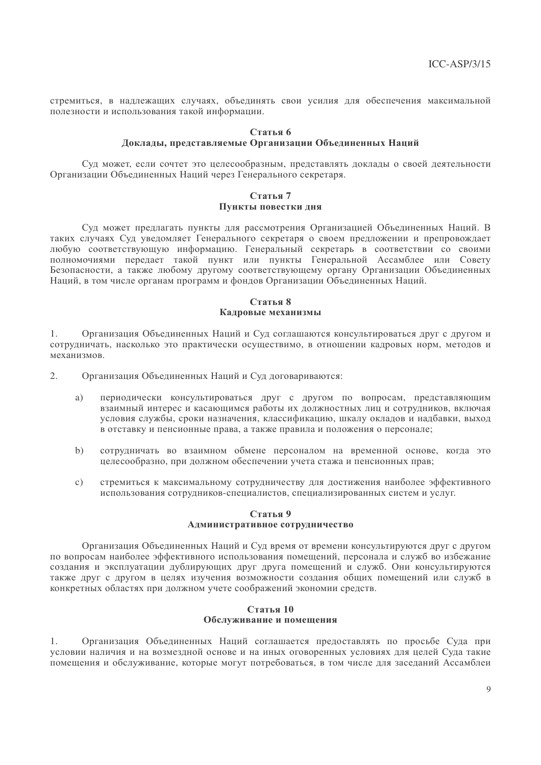стремиться, в надлежащих случаях, объединять свои усилия для обеспечения максимальной полезности и использования такой информации.

#### Статья 6

#### Локлалы, представляемые Организации Объединенных Наций

Суд может, если сочтет это целесообразным, представлять доклады о своей деятельности Организации Объединенных Наций через Генерального секретаря.

#### Статья 7 Пункты повестки дня

Суд может предлагать пункты для рассмотрения Организацией Объединенных Наций. В таких случаях Суд уведомляет Генерального секретаря о своем предложении и препровождает любую соответствующую информацию. Генеральный секретарь в соответствии со своими полномочиями передает такой пункт или пункты Генеральной Ассамблее или Совету Наций, в том числе органам программ и фондов Организации Объединенных Наций.

#### Статья 8 Калровые механизмы

1. Организация Объелиненных Наций и Сул соглашаются консультироваться лруг с лругом и сотрудничать, насколько это практически осуществимо, в отношении кадровых норм, методов и механизмов.

 $2^{\circ}$ Организация Объединенных Наций и Суд договариваются:

- периодически консультироваться друг с другом по вопросам, представляющим a) взаимный интерес и касающимся работы их должностных лиц и сотрудников, включая условия службы, сроки назначения, классификацию, шкалу окладов и надбавки, выход в отставку и пенсионные права, а также правила и положения о персонале;
- сотрудничать во взаимном обмене персоналом на временной основе, когда это  $b)$ целесообразно, при должном обеспечении учета стажа и пенсионных прав;
- $c)$ стремиться к максимальному сотрудничеству для достижения наиболее эффективного использования сотрудников-специалистов, специализированных систем и услуг.

#### Статья 9 Административное сотрудничество

Организация Объединенных Наций и Суд время от времени консультируются друг с другом по вопросам наиболее эффективного использования помещений, персонала и служб во избежание создания и эксплуатации дублирующих друг друга помещений и служб. Они консультируются также друг с другом в целях изучения возможности создания общих помещений или служб в конкретных областях при должном учете соображений экономии средств.

#### Статья 10 Обслуживание и помещения

Организация Объединенных Наций соглашается предоставлять по просьбе Суда при  $1.$ условии наличия и на возмезлной основе и на иных оговоренных условиях лля целей Суда такие помещения и обслуживание, которые могут потребоваться, в том числе для заседаний Ассамблеи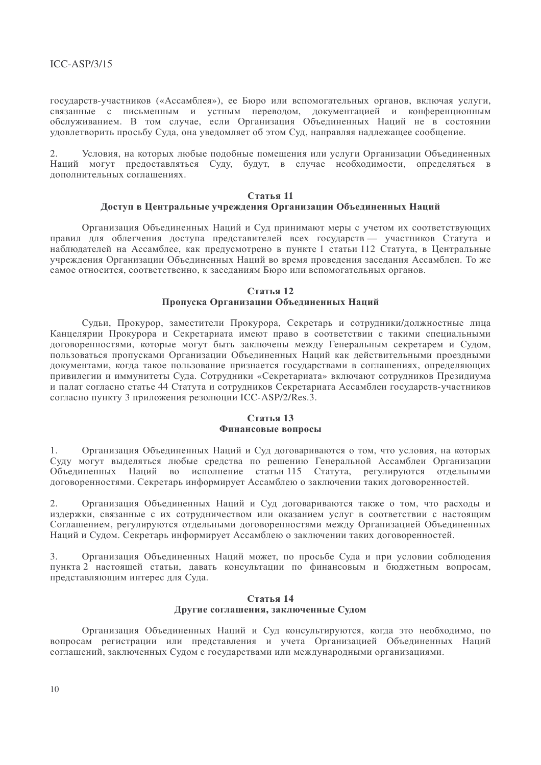государств-участников («Ассамблея»), ее Бюро или вспомогательных органов, включая услуги, связанные с письменным и устным переводом, документацией и конференционным обслуживанием. В том случае, если Организация Объединенных Наций не в состоянии удовлетворить просьбу Суда, она уведомляет об этом Суд, направляя надлежащее сообщение.

 $2.$ Условия, на которых любые подобные помещения или услуги Организации Объединенных Наций могут предоставляться Суду, будут, в случае необходимости, определяться в дополнительных соглашениях.

#### Стятья 11

#### Доступ в Центральные учреждения Организации Объединенных Наций

Организация Объединенных Наций и Суд принимают меры с учетом их соответствующих правил для облегчения доступа представителей всех государств - участников Статута и наблюдателей на Ассамблее, как предусмотрено в пункте 1 статьи 112 Статута, в Центральные учреждения Организации Объединенных Наций во время проведения заседания Ассамблеи. То же самое относится, соответственно, к заседаниям Бюро или вспомогательных органов.

#### Статья 12 Пропуска Организации Объединенных Наций

Судьи, Прокурор, заместители Прокурора, Секретарь и сотрудники/должностные лица Канцелярии Прокурора и Секретариата имеют право в соответствии с такими специальными логоворенностями, которые могут быть заключены между Генеральным секретарем и Судом. пользоваться пропусками Организации Объединенных Наций как действительными проездными документами, когда такое пользование признается государствами в соглашениях, определяющих привилегии и иммунитеты Суда. Сотрудники «Секретариата» включают сотрудников Президиума и палат согласно статье 44 Статута и сотрудников Секретариата Ассамблеи государств-участников согласно пункту 3 приложения резолюции ICC-ASP/2/Res.3.

#### Статья 13 Финансовые вопросы

Организация Объединенных Наций и Суд договариваются о том, что условия, на которых  $1$ Суду могут выделяться любые средства по решению Генеральной Ассамблеи Организации Объединенных Наций во исполнение статьи 115 Статута, регулируются отдельными договоренностями. Секретарь информирует Ассамблею о заключении таких договоренностей.

Организация Объединенных Наций и Суд договариваются также о том, что расходы и  $2.$ издержки, связанные с их сотрудничеством или оказанием услуг в соответствии с настоящим Соглашением, регулируются отдельными договоренностями между Организацией Объединенных Наций и Сулом. Секретарь информирует Ассамблею о заключении таких логоворенностей.

 $3<sub>1</sub>$ Организация Объединенных Наций может, по просьбе Суда и при условии соблюдения пункта 2 настоящей статьи, давать консультации по финансовым и бюджетным вопросам, представляющим интерес для Суда.

#### Статья 14 Другие соглашения, заключенные Судом

Организация Объединенных Наций и Суд консультируются, когда это необходимо, по вопросам регистрации или представления и учета Организацией Объединенных Наций соглашений, заключенных Сулом с государствами или международными организациями.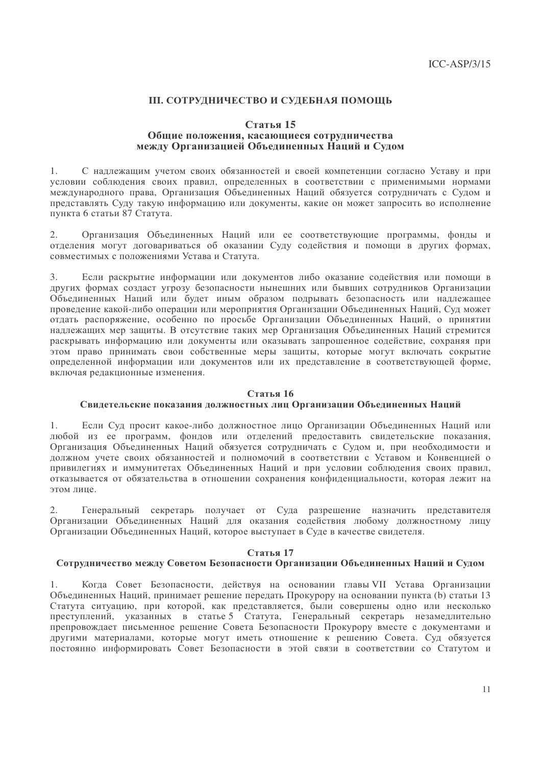## **III. СОТРУДНИЧЕСТВО И СУДЕБНАЯ ПОМОЩЬ**

#### Статья 15

#### Общие положения, касающиеся сотрудничества между Организацией Объединенных Наций и Судом

С надлежащим учетом своих обязанностей и своей компетенции согласно Уставу и при  $1.$ условии соблюдения своих правил, определенных в соответствии с применимыми нормами международного права, Организация Объединенных Наций обязуется сотрудничать с Судом и представлять Суду такую информацию или документы, какие он может запросить во исполнение пункта 6 статьи 87 Статута.

Организация Объединенных Наций или ее соответствующие программы, фонды и  $2.$ отделения могут договариваться об оказании Суду содействия и помощи в других формах, совместимых с положениями Устава и Статута.

Если раскрытие информации или документов либо оказание содействия или помощи в  $\overline{3}$ . других формах создаст угрозу безопасности нынешних или бывших сотрудников Организации Объединенных Наций или будет иным образом подрывать безопасность или надлежащее проведение какой-либо операции или мероприятия Организации Объединенных Наций, Суд может отдать распоряжение, особенно по просьбе Организации Объединенных Наций, о принятии надлежащих мер защиты. В отсутствие таких мер Организация Объединенных Наций стремится раскрывать информацию или документы или оказывать запрошенное содействие, сохраняя при этом право принимать свои собственные меры защиты, которые могут включать сокрытие определенной информации или документов или их представление в соответствующей форме, включая редакционные изменения.

#### Статья 16

#### Свидетельские показания должностных лиц Организации Объединенных Наций

 $1<sub>1</sub>$ Если Суд просит какое-либо должностное лицо Организации Объединенных Наций или любой из ее программ, фондов или отделений предоставить свидетельские показания, Организация Объединенных Наций обязуется сотрудничать с Судом и, при необходимости и должном учете своих обязанностей и полномочий в соответствии с Уставом и Конвенцией о привилегиях и иммунитетах Объединенных Наций и при условии соблюдения своих правил, отказывается от обязательства в отношении сохранения конфиденциальности, которая лежит на этом лице.

 $2^{\circ}$ Генеральный секретарь получает от Суда разрешение назначить представителя Организации Объединенных Наций для оказания содействия любому должностному лицу Организации Объединенных Наций, которое выступает в Суде в качестве свидетеля.

#### Статья 17

#### Сотрудничество между Советом Безопасности Организации Объединенных Наций и Судом

Когда Совет Безопасности, действуя на основании главы VII Устава Организации  $1$ Объединенных Наций, принимает решение передать Прокурору на основании пункта (b) статьи 13 Статута ситуацию, при которой, как представляется, были совершены одно или несколько преступлений, указанных в статье 5 Статута, Генеральный секретарь незамедлительно препровождает письменное решение Совета Безопасности Прокурору вместе с документами и другими материалами, которые могут иметь отношение к решению Совета. Суд обязуется постоянно информировать Совет Безопасности в этой связи в соответствии со Статутом и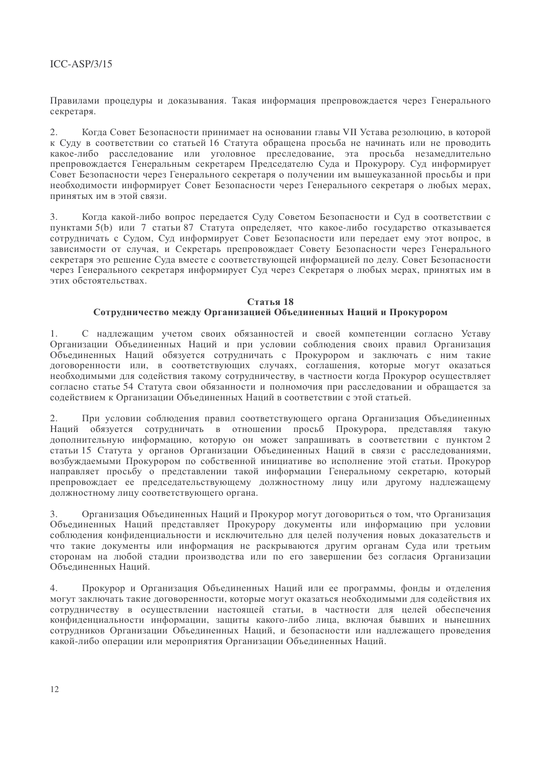## $ICC-ASP/3/15$

Правилами процедуры и доказывания. Такая информация препровождается через Генерального секретаря.

 $2.$ Когда Совет Безопасности принимает на основании главы VII Устава резолюцию, в которой к Суду в соответствии со статьей 16 Статута обращена просьба не начинать или не проводить какое-либо расследование или уголовное преследование, эта просьба незамедлительно препровождается Генеральным секретарем Председателю Суда и Прокурору. Суд информирует Совет Безопасности через Генерального секретаря о получении им вышеуказанной просьбы и при необходимости информирует Совет Безопасности через Генерального секретаря о любых мерах, принятых им в этой связи.

 $\mathcal{L}$ Когда какой-либо вопрос передается Суду Советом Безопасности и Суд в соответствии с пунктами 5(b) или 7 статьи 87 Статута определяет, что какое-либо государство отказывается сотрудничать с Судом, Суд информирует Совет Безопасности или передает ему этот вопрос, в зависимости от случая, и Секретарь препровождает Совету Безопасности через Генерального секретаря это решение Суда вместе с соответствующей информацией по делу. Совет Безопасности через Генерального секретаря информирует Суд через Секретаря о любых мерах, принятых им в этих обстоятельствах.

#### Статья 18 Сотрудничество между Организацией Объединенных Наций и Прокурором

1. С наллежащим учетом своих обязанностей и своей компетенции согласно Уставу Организации Объелиненных Наций и при условии соблюдения своих правил Организация Объединенных Наций обязуется сотрудничать с Прокурором и заключать с ним такие договоренности или, в соответствующих случаях, соглашения, которые могут оказаться необходимыми для содействия такому сотрудничеству, в частности когда Прокурор осуществляет согласно статье 54 Статута свои обязанности и полномочия при расследовании и обрашается за содействием к Организации Объединенных Наций в соответствии с этой статьей.

 $2.$ При условии соблюдения правил соответствующего органа Организация Объединенных Наций обязуется сотрудничать в отношении просьб Прокурора, представляя такую дополнительную информацию, которую он может запрашивать в соответствии с пунктом 2 статьи 15 Статута у органов Организации Объединенных Наций в связи с расследованиями, возбуждаемыми Прокурором по собственной инициативе во исполнение этой статьи. Прокурор направляет просьбу о представлении такой информации Генеральному секретарю, который препровождает ее председательствующему должностному лицу или другому надлежащему лолжностному лицу соответствующего органа.

Организация Объединенных Наций и Прокурор могут договориться о том, что Организация  $\mathcal{Z}$ Объединенных Наций представляет Прокурору документы или информацию при условии соблюдения конфиденциальности и исключительно для целей получения новых доказательств и что такие документы или информация не раскрываются другим органам Суда или третьим сторонам на любой стадии производства или по его завершении без согласия Организации Объединенных Наций.

Прокурор и Организация Объединенных Наций или ее программы, фонды и отделения  $4.$ могут заключать такие договоренности, которые могут оказаться необходимыми для содействия их сотрудничеству в осуществлении настоящей статьи, в частности для целей обеспечения конфиденциальности информации, защиты какого-либо лица, включая бывших и нынешних сотрудников Организации Объединенных Наций, и безопасности или надлежащего проведения какой-либо операции или мероприятия Организации Объединенных Наций.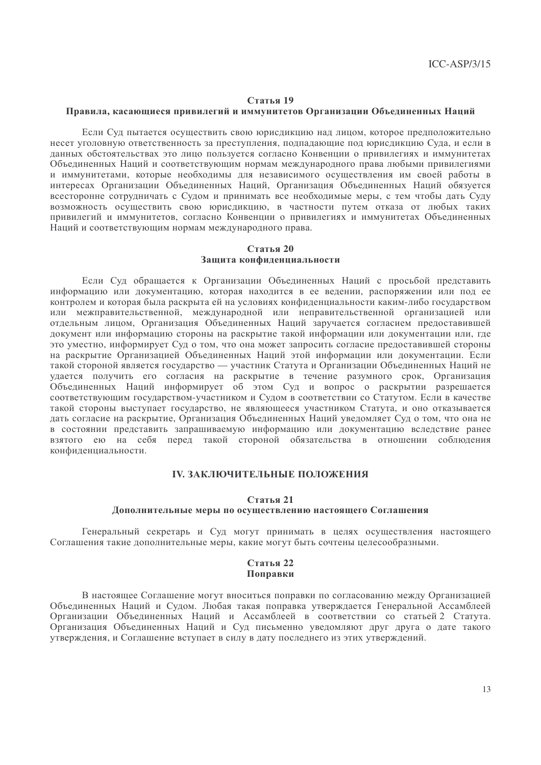#### Статья 19

#### Правила, касающиеся привилегий и иммунитетов Организации Объединенных Наций

Если Суд пытается осуществить свою юрисдикцию над лицом, которое предположительно несет уголовную ответственность за преступления, подпадающие под юрисдикцию Суда, и если в данных обстоятельствах это лицо пользуется согласно Конвенции о привилегиях и иммунитетах Объединенных Наций и соответствующим нормам международного права любыми привилегиями и иммунитетами, которые необходимы для независимого осуществления им своей работы в интересах Организации Объединенных Наций, Организация Объединенных Наций обязуется всесторонне сотрудничать с Судом и принимать все необходимые меры, с тем чтобы дать Суду возможность осуществить свою юрисликцию, в частности путем отказа от любых таких привилегий и иммунитетов, согласно Конвенции о привилегиях и иммунитетах Объелиненных Наций и соответствующим нормам международного права.

#### Статья 20 Защита конфиденциальности

Если Суд обращается к Организации Объединенных Наций с просьбой представить информацию или документацию, которая находится в ее ведении, распоряжении или под ее контролем и которая была раскрыта ей на условиях конфиденциальности каким-либо государством или межправительственной, международной или неправительственной организацией или отдельным лицом, Организация Объединенных Наций заручается согласием предоставившей локумент или информацию стороны на раскрытие такой информации или документации или, где это уместно, информирует Суд о том, что она может запросить согласие предоставившей стороны на раскрытие Организацией Объединенных Наций этой информации или документации. Если такой стороной является государство — участник Статута и Организации Объединенных Наций не удается получить его согласия на раскрытие в течение разумного срок, Организация Объединенных Наций информирует об этом Суд и вопрос о раскрытии разрешается соответствующим государством-участником и Судом в соответствии со Статутом. Если в качестве такой стороны выступает государство, не являющееся участником Статута, и оно отказывается дать согласие на раскрытие, Организация Объединенных Наций уведомляет Суд о том, что она не в состоянии представить запрашиваемую информацию или документацию вследствие ранее взятого ею на себя перед такой стороной обязательства в отношении соблюдения конфиденциальности.

### **IV. ЗАКЛЮЧИТЕЛЬНЫЕ ПОЛОЖЕНИЯ**

#### Статья 21

#### Дополнительные меры по осуществлению настоящего Соглашения

Генеральный секретарь и Суд могут принимать в целях осуществления настоящего Соглашения такие дополнительные меры, какие могут быть сочтены целесообразными.

#### Статья 22 Поправки

В настоящее Соглашение могут вноситься поправки по согласованию между Организацией Объединенных Наций и Судом. Любая такая поправка утверждается Генеральной Ассамблеей Организации Объединенных Наций и Ассамблеей в соответствии со статьей 2 Статута. Организация Объединенных Наций и Суд письменно уведомляют друг друга о дате такого утверждения, и Соглашение вступает в силу в дату последнего из этих утверждений.